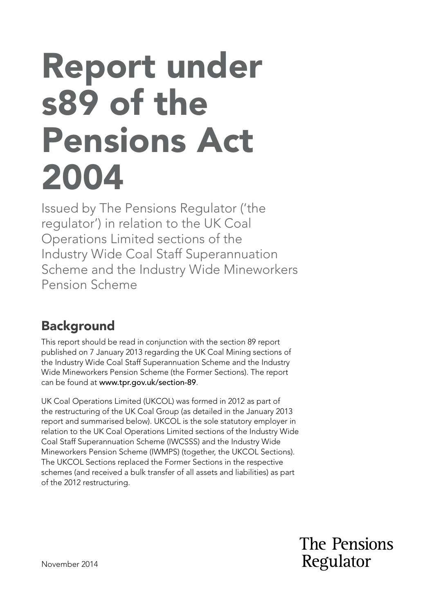# Report under s89 of the Pensions Act 2004

Issued by The Pensions Regulator ('the regulator') in relation to the UK Coal Operations Limited sections of the Industry Wide Coal Staff Superannuation Scheme and the Industry Wide Mineworkers Pension Scheme

# **Background**

This report should be read in conjunction with the section 89 report published on 7 January 2013 regarding the UK Coal Mining sections of the Industry Wide Coal Staff Superannuation Scheme and the Industry Wide Mineworkers Pension Scheme (the Former Sections). The report can be found at www.tpr.gov.uk/section-89.

UK Coal Operations Limited (UKCOL) was formed in 2012 as part of the restructuring of the UK Coal Group (as detailed in the January 2013 report and summarised below). UKCOL is the sole statutory employer in relation to the UK Coal Operations Limited sections of the Industry Wide Coal Staff Superannuation Scheme (IWCSSS) and the Industry Wide Mineworkers Pension Scheme (IWMPS) (together, the UKCOL Sections). The UKCOL Sections replaced the Former Sections in the respective schemes (and received a bulk transfer of all assets and liabilities) as part of the 2012 restructuring.

> The Pensions Regulator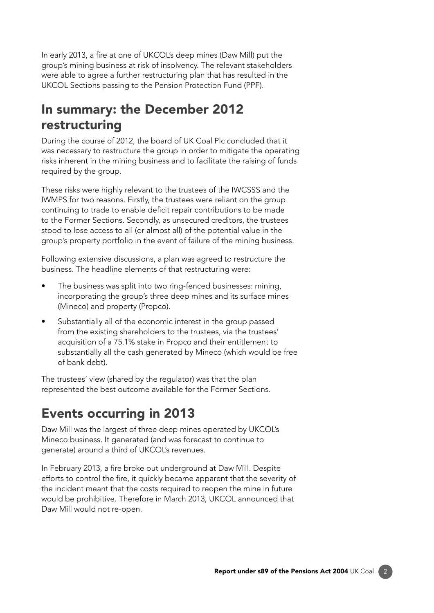In early 2013, a fre at one of UKCOL's deep mines (Daw Mill) put the group's mining business at risk of insolvency. The relevant stakeholders were able to agree a further restructuring plan that has resulted in the UKCOL Sections passing to the Pension Protection Fund (PPF).

### In summary: the December 2012 restructuring

During the course of 2012, the board of UK Coal Plc concluded that it was necessary to restructure the group in order to mitigate the operating risks inherent in the mining business and to facilitate the raising of funds required by the group.

These risks were highly relevant to the trustees of the IWCSSS and the IWMPS for two reasons. Firstly, the trustees were reliant on the group continuing to trade to enable deficit repair contributions to be made to the Former Sections. Secondly, as unsecured creditors, the trustees stood to lose access to all (or almost all) of the potential value in the group's property portfolio in the event of failure of the mining business.

Following extensive discussions, a plan was agreed to restructure the business. The headline elements of that restructuring were:

- The business was split into two ring-fenced businesses: mining, incorporating the group's three deep mines and its surface mines (Mineco) and property (Propco).
- Substantially all of the economic interest in the group passed from the existing shareholders to the trustees, via the trustees' acquisition of a 75.1% stake in Propco and their entitlement to substantially all the cash generated by Mineco (which would be free of bank debt).

The trustees' view (shared by the regulator) was that the plan represented the best outcome available for the Former Sections.

## Events occurring in 2013

Daw Mill was the largest of three deep mines operated by UKCOL's Mineco business. It generated (and was forecast to continue to generate) around a third of UKCOL's revenues.

In February 2013, a fre broke out underground at Daw Mill. Despite efforts to control the fire, it quickly became apparent that the severity of the incident meant that the costs required to reopen the mine in future would be prohibitive. Therefore in March 2013, UKCOL announced that Daw Mill would not re-open.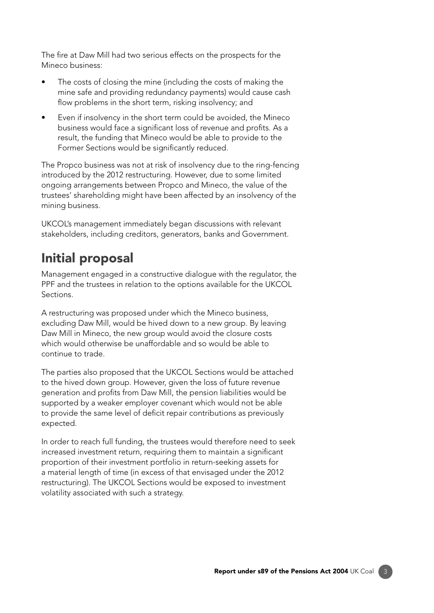The fire at Daw Mill had two serious effects on the prospects for the Mineco business:

- The costs of closing the mine (including the costs of making the mine safe and providing redundancy payments) would cause cash flow problems in the short term, risking insolvency; and
- Even if insolvency in the short term could be avoided, the Mineco business would face a significant loss of revenue and profits. As a result, the funding that Mineco would be able to provide to the Former Sections would be significantly reduced.

The Propco business was not at risk of insolvency due to the ring-fencing introduced by the 2012 restructuring. However, due to some limited ongoing arrangements between Propco and Mineco, the value of the trustees' shareholding might have been affected by an insolvency of the mining business.

UKCOL's management immediately began discussions with relevant stakeholders, including creditors, generators, banks and Government.

# Initial proposal

Management engaged in a constructive dialogue with the regulator, the PPF and the trustees in relation to the options available for the UKCOL Sections.

A restructuring was proposed under which the Mineco business, excluding Daw Mill, would be hived down to a new group. By leaving Daw Mill in Mineco, the new group would avoid the closure costs which would otherwise be unaffordable and so would be able to continue to trade.

The parties also proposed that the UKCOL Sections would be attached to the hived down group. However, given the loss of future revenue generation and profts from Daw Mill, the pension liabilities would be supported by a weaker employer covenant which would not be able to provide the same level of deficit repair contributions as previously expected.

In order to reach full funding, the trustees would therefore need to seek increased investment return, requiring them to maintain a significant proportion of their investment portfolio in return-seeking assets for a material length of time (in excess of that envisaged under the 2012 restructuring). The UKCOL Sections would be exposed to investment volatility associated with such a strategy.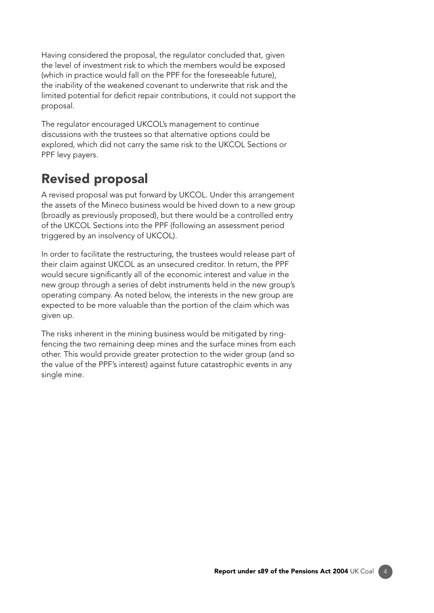Having considered the proposal, the regulator concluded that, given the level of investment risk to which the members would be exposed (which in practice would fall on the PPF for the foreseeable future), the inability of the weakened covenant to underwrite that risk and the limited potential for deficit repair contributions, it could not support the proposal.

The regulator encouraged UKCOL's management to continue discussions with the trustees so that alternative options could be explored, which did not carry the same risk to the UKCOL Sections or PPF levy payers.

# Revised proposal

A revised proposal was put forward by UKCOL. Under this arrangement the assets of the Mineco business would be hived down to a new group (broadly as previously proposed), but there would be a controlled entry of the UKCOL Sections into the PPF (following an assessment period triggered by an insolvency of UKCOL).

In order to facilitate the restructuring, the trustees would release part of their claim against UKCOL as an unsecured creditor. In return, the PPF would secure signifcantly all of the economic interest and value in the new group through a series of debt instruments held in the new group's operating company. As noted below, the interests in the new group are expected to be more valuable than the portion of the claim which was given up.

The risks inherent in the mining business would be mitigated by ringfencing the two remaining deep mines and the surface mines from each other. This would provide greater protection to the wider group (and so the value of the PPF's interest) against future catastrophic events in any single mine.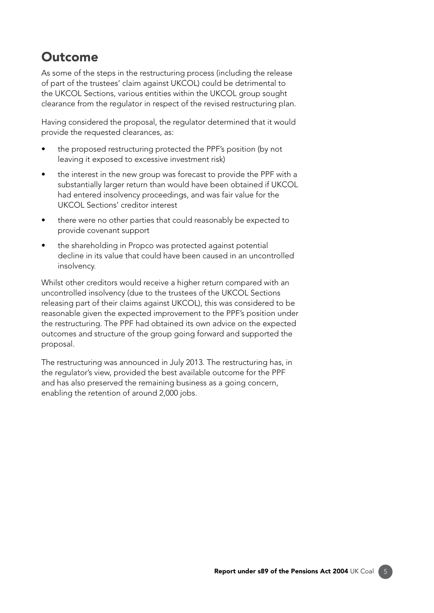#### **Outcome**

As some of the steps in the restructuring process (including the release of part of the trustees' claim against UKCOL) could be detrimental to the UKCOL Sections, various entities within the UKCOL group sought clearance from the regulator in respect of the revised restructuring plan.

Having considered the proposal, the regulator determined that it would provide the requested clearances, as:

- the proposed restructuring protected the PPF's position (by not leaving it exposed to excessive investment risk)
- the interest in the new group was forecast to provide the PPF with a substantially larger return than would have been obtained if UKCOL had entered insolvency proceedings, and was fair value for the UKCOL Sections' creditor interest
- there were no other parties that could reasonably be expected to provide covenant support
- the shareholding in Propco was protected against potential decline in its value that could have been caused in an uncontrolled insolvency.

Whilst other creditors would receive a higher return compared with an uncontrolled insolvency (due to the trustees of the UKCOL Sections releasing part of their claims against UKCOL), this was considered to be reasonable given the expected improvement to the PPF's position under the restructuring. The PPF had obtained its own advice on the expected outcomes and structure of the group going forward and supported the proposal.

The restructuring was announced in July 2013. The restructuring has, in the regulator's view, provided the best available outcome for the PPF and has also preserved the remaining business as a going concern, enabling the retention of around 2,000 jobs.